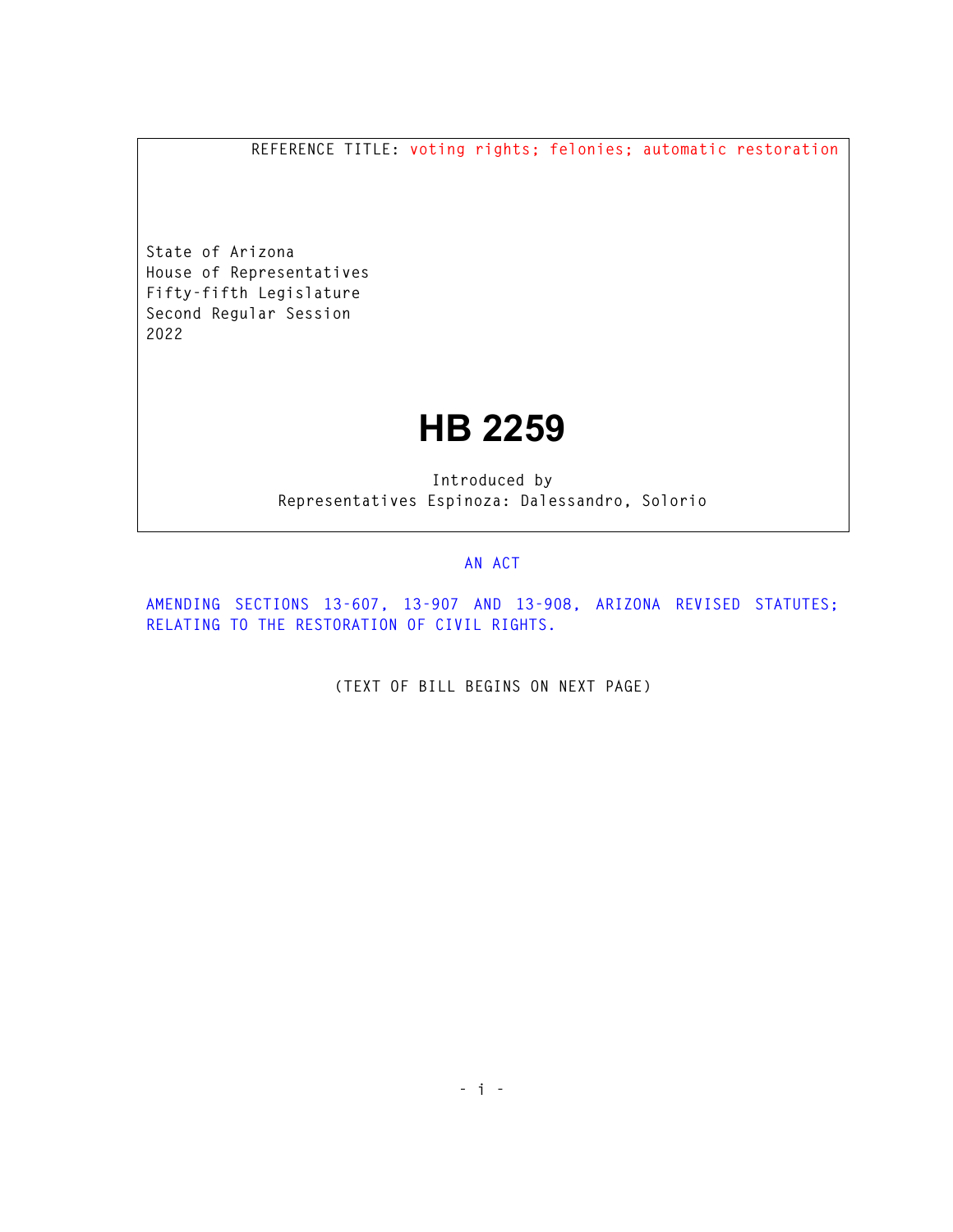**REFERENCE TITLE: voting rights; felonies; automatic restoration** 

**State of Arizona House of Representatives Fifty-fifth Legislature Second Regular Session 2022** 

## **HB 2259**

**Introduced by Representatives Espinoza: Dalessandro, Solorio** 

## **AN ACT**

**AMENDING SECTIONS 13-607, 13-907 AND 13-908, ARIZONA REVISED STATUTES; RELATING TO THE RESTORATION OF CIVIL RIGHTS.** 

**(TEXT OF BILL BEGINS ON NEXT PAGE)**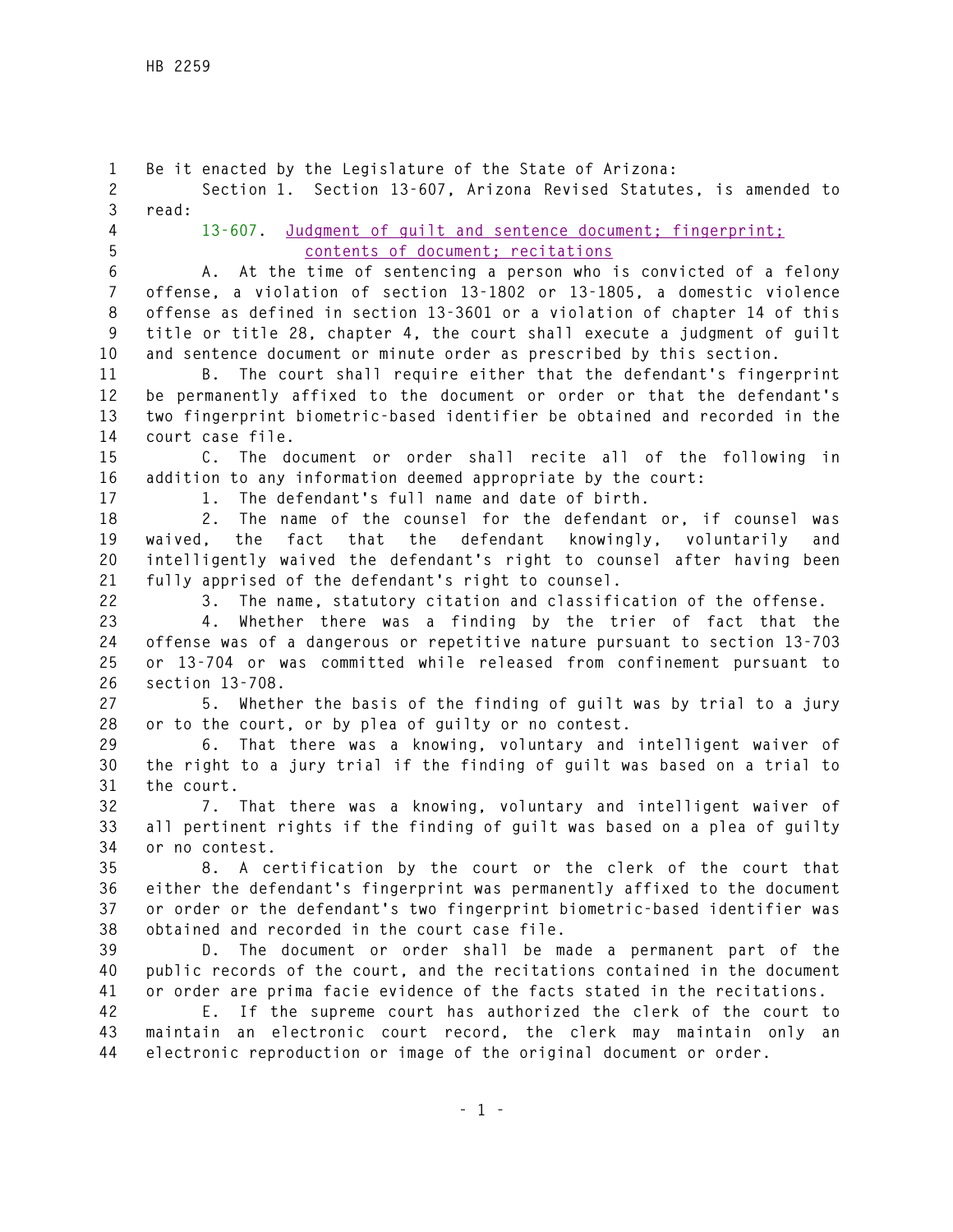**1 Be it enacted by the Legislature of the State of Arizona: 2 Section 1. Section 13-607, Arizona Revised Statutes, is amended to 3 read: 4 13-607. Judgment of guilt and sentence document; fingerprint; 5 contents of document; recitations 6 A. At the time of sentencing a person who is convicted of a felony 7 offense, a violation of section 13-1802 or 13-1805, a domestic violence 8 offense as defined in section 13-3601 or a violation of chapter 14 of this 9 title or title 28, chapter 4, the court shall execute a judgment of guilt 10 and sentence document or minute order as prescribed by this section. 11 B. The court shall require either that the defendant's fingerprint 12 be permanently affixed to the document or order or that the defendant's 13 two fingerprint biometric-based identifier be obtained and recorded in the 14 court case file. 15 C. The document or order shall recite all of the following in 16 addition to any information deemed appropriate by the court: 17 1. The defendant's full name and date of birth. 18 2. The name of the counsel for the defendant or, if counsel was 19 waived, the fact that the defendant knowingly, voluntarily and 20 intelligently waived the defendant's right to counsel after having been 21 fully apprised of the defendant's right to counsel. 22 3. The name, statutory citation and classification of the offense. 23 4. Whether there was a finding by the trier of fact that the 24 offense was of a dangerous or repetitive nature pursuant to section 13-703 25 or 13-704 or was committed while released from confinement pursuant to 26 section 13-708. 27 5. Whether the basis of the finding of guilt was by trial to a jury 28 or to the court, or by plea of guilty or no contest. 29 6. That there was a knowing, voluntary and intelligent waiver of 30 the right to a jury trial if the finding of guilt was based on a trial to 31 the court. 32 7. That there was a knowing, voluntary and intelligent waiver of 33 all pertinent rights if the finding of guilt was based on a plea of guilty 34 or no contest. 35 8. A certification by the court or the clerk of the court that 36 either the defendant's fingerprint was permanently affixed to the document 37 or order or the defendant's two fingerprint biometric-based identifier was 38 obtained and recorded in the court case file. 39 D. The document or order shall be made a permanent part of the 40 public records of the court, and the recitations contained in the document 41 or order are prima facie evidence of the facts stated in the recitations. 42 E. If the supreme court has authorized the clerk of the court to 43 maintain an electronic court record, the clerk may maintain only an 44 electronic reproduction or image of the original document or order.**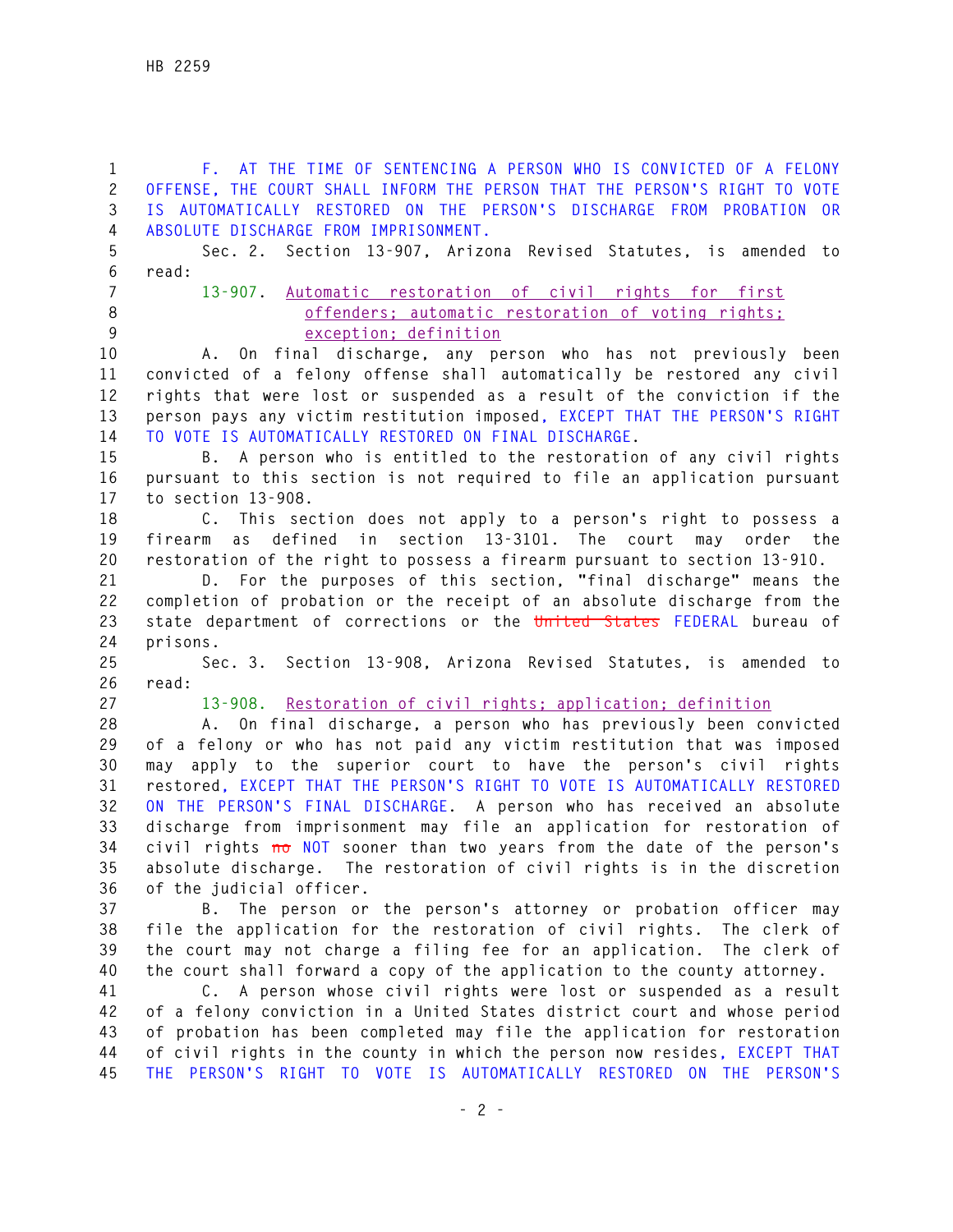**1 F. AT THE TIME OF SENTENCING A PERSON WHO IS CONVICTED OF A FELONY 2 OFFENSE, THE COURT SHALL INFORM THE PERSON THAT THE PERSON'S RIGHT TO VOTE 3 IS AUTOMATICALLY RESTORED ON THE PERSON'S DISCHARGE FROM PROBATION OR 4 ABSOLUTE DISCHARGE FROM IMPRISONMENT. 5 Sec. 2. Section 13-907, Arizona Revised Statutes, is amended to 6 read: 7 13-907. Automatic restoration of civil rights for first 8 offenders; automatic restoration of voting rights; 9 exception; definition 10 A. On final discharge, any person who has not previously been 11 convicted of a felony offense shall automatically be restored any civil 12 rights that were lost or suspended as a result of the conviction if the 13 person pays any victim restitution imposed, EXCEPT THAT THE PERSON'S RIGHT 14 TO VOTE IS AUTOMATICALLY RESTORED ON FINAL DISCHARGE. 15 B. A person who is entitled to the restoration of any civil rights 16 pursuant to this section is not required to file an application pursuant 17 to section 13-908. 18 C. This section does not apply to a person's right to possess a 19 firearm as defined in section 13-3101. The court may order the 20 restoration of the right to possess a firearm pursuant to section 13-910. 21 D. For the purposes of this section, "final discharge" means the 22 completion of probation or the receipt of an absolute discharge from the 23 state department of corrections or the United States FEDERAL bureau of 24 prisons. 25 Sec. 3. Section 13-908, Arizona Revised Statutes, is amended to 26 read: 27 13-908. Restoration of civil rights; application; definition 28 A. On final discharge, a person who has previously been convicted 29 of a felony or who has not paid any victim restitution that was imposed 30 may apply to the superior court to have the person's civil rights 31 restored, EXCEPT THAT THE PERSON'S RIGHT TO VOTE IS AUTOMATICALLY RESTORED 32 ON THE PERSON'S FINAL DISCHARGE. A person who has received an absolute 33 discharge from imprisonment may file an application for restoration of 34 civil rights no NOT sooner than two years from the date of the person's 35 absolute discharge. The restoration of civil rights is in the discretion 36 of the judicial officer. 37 B. The person or the person's attorney or probation officer may 38 file the application for the restoration of civil rights. The clerk of 39 the court may not charge a filing fee for an application. The clerk of 40 the court shall forward a copy of the application to the county attorney. 41 C. A person whose civil rights were lost or suspended as a result 42 of a felony conviction in a United States district court and whose period 43 of probation has been completed may file the application for restoration 44 of civil rights in the county in which the person now resides, EXCEPT THAT 45 THE PERSON'S RIGHT TO VOTE IS AUTOMATICALLY RESTORED ON THE PERSON'S**